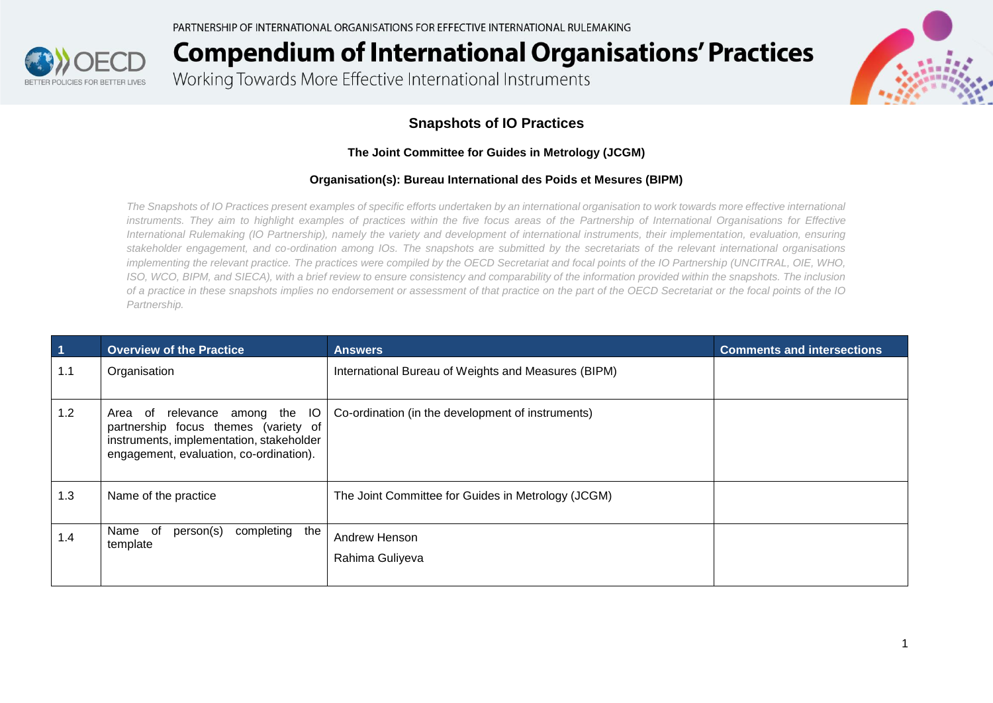

Working Towards More Effective International Instruments



#### **Snapshots of IO Practices**

#### **The Joint Committee for Guides in Metrology (JCGM)**

#### **Organisation(s): Bureau International des Poids et Mesures (BIPM)**

*The Snapshots of IO Practices present examples of specific efforts undertaken by an international organisation to work towards more effective international instruments. They aim to highlight examples of practices within the five focus areas of the Partnership of International Organisations for Effective International Rulemaking (IO Partnership), namely the variety and development of international instruments, their implementation, evaluation, ensuring stakeholder engagement, and co-ordination among IOs. The snapshots are submitted by the secretariats of the relevant international organisations implementing the relevant practice. The practices were compiled by the OECD Secretariat and focal points of the IO Partnership (UNCITRAL, OIE, WHO, ISO, WCO, BIPM, and SIECA), with a brief review to ensure consistency and comparability of the information provided within the snapshots. The inclusion of a practice in these snapshots implies no endorsement or assessment of that practice on the part of the OECD Secretariat or the focal points of the IO Partnership.*

| $\overline{1}$ | <b>Overview of the Practice</b>                                                                                                                                  | <b>Answers</b>                                      | <b>Comments and intersections</b> |
|----------------|------------------------------------------------------------------------------------------------------------------------------------------------------------------|-----------------------------------------------------|-----------------------------------|
| 1.1            | Organisation                                                                                                                                                     | International Bureau of Weights and Measures (BIPM) |                                   |
| 1.2            | relevance among the IO<br>Area of<br>partnership focus themes (variety of<br>instruments, implementation, stakeholder<br>engagement, evaluation, co-ordination). | Co-ordination (in the development of instruments)   |                                   |
| 1.3            | Name of the practice                                                                                                                                             | The Joint Committee for Guides in Metrology (JCGM)  |                                   |
| 1.4            | person(s)<br>completing the<br>Name of<br>template                                                                                                               | Andrew Henson<br>Rahima Guliyeva                    |                                   |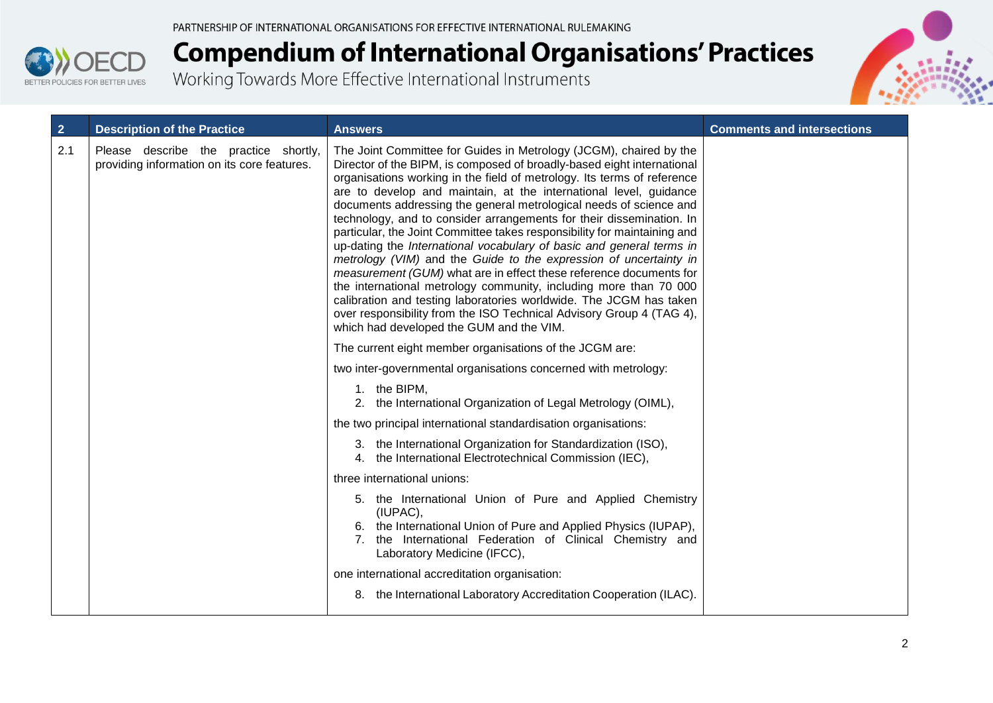



| $\overline{2}$ | <b>Description of the Practice</b>                                                   | <b>Answers</b>                                                                                                                                                                                                                                                                                                                                                                                                                                                                                                                                                                                                                                                                                                                                                                                                                                                                                                                                                                                           | <b>Comments and intersections</b> |
|----------------|--------------------------------------------------------------------------------------|----------------------------------------------------------------------------------------------------------------------------------------------------------------------------------------------------------------------------------------------------------------------------------------------------------------------------------------------------------------------------------------------------------------------------------------------------------------------------------------------------------------------------------------------------------------------------------------------------------------------------------------------------------------------------------------------------------------------------------------------------------------------------------------------------------------------------------------------------------------------------------------------------------------------------------------------------------------------------------------------------------|-----------------------------------|
| 2.1            | Please describe the practice shortly,<br>providing information on its core features. | The Joint Committee for Guides in Metrology (JCGM), chaired by the<br>Director of the BIPM, is composed of broadly-based eight international<br>organisations working in the field of metrology. Its terms of reference<br>are to develop and maintain, at the international level, guidance<br>documents addressing the general metrological needs of science and<br>technology, and to consider arrangements for their dissemination. In<br>particular, the Joint Committee takes responsibility for maintaining and<br>up-dating the International vocabulary of basic and general terms in<br>metrology (VIM) and the Guide to the expression of uncertainty in<br>measurement (GUM) what are in effect these reference documents for<br>the international metrology community, including more than 70 000<br>calibration and testing laboratories worldwide. The JCGM has taken<br>over responsibility from the ISO Technical Advisory Group 4 (TAG 4),<br>which had developed the GUM and the VIM. |                                   |
|                |                                                                                      | The current eight member organisations of the JCGM are:                                                                                                                                                                                                                                                                                                                                                                                                                                                                                                                                                                                                                                                                                                                                                                                                                                                                                                                                                  |                                   |
|                |                                                                                      | two inter-governmental organisations concerned with metrology:                                                                                                                                                                                                                                                                                                                                                                                                                                                                                                                                                                                                                                                                                                                                                                                                                                                                                                                                           |                                   |
|                |                                                                                      | 1. the BIPM,<br>2. the International Organization of Legal Metrology (OIML),                                                                                                                                                                                                                                                                                                                                                                                                                                                                                                                                                                                                                                                                                                                                                                                                                                                                                                                             |                                   |
|                |                                                                                      | the two principal international standardisation organisations:                                                                                                                                                                                                                                                                                                                                                                                                                                                                                                                                                                                                                                                                                                                                                                                                                                                                                                                                           |                                   |
|                |                                                                                      | 3. the International Organization for Standardization (ISO),<br>4. the International Electrotechnical Commission (IEC),                                                                                                                                                                                                                                                                                                                                                                                                                                                                                                                                                                                                                                                                                                                                                                                                                                                                                  |                                   |
|                |                                                                                      | three international unions:                                                                                                                                                                                                                                                                                                                                                                                                                                                                                                                                                                                                                                                                                                                                                                                                                                                                                                                                                                              |                                   |
|                |                                                                                      | 5. the International Union of Pure and Applied Chemistry<br>(IUPAC),<br>6. the International Union of Pure and Applied Physics (IUPAP),<br>7. the International Federation of Clinical Chemistry and<br>Laboratory Medicine (IFCC),                                                                                                                                                                                                                                                                                                                                                                                                                                                                                                                                                                                                                                                                                                                                                                      |                                   |
|                |                                                                                      | one international accreditation organisation:                                                                                                                                                                                                                                                                                                                                                                                                                                                                                                                                                                                                                                                                                                                                                                                                                                                                                                                                                            |                                   |
|                |                                                                                      | 8. the International Laboratory Accreditation Cooperation (ILAC).                                                                                                                                                                                                                                                                                                                                                                                                                                                                                                                                                                                                                                                                                                                                                                                                                                                                                                                                        |                                   |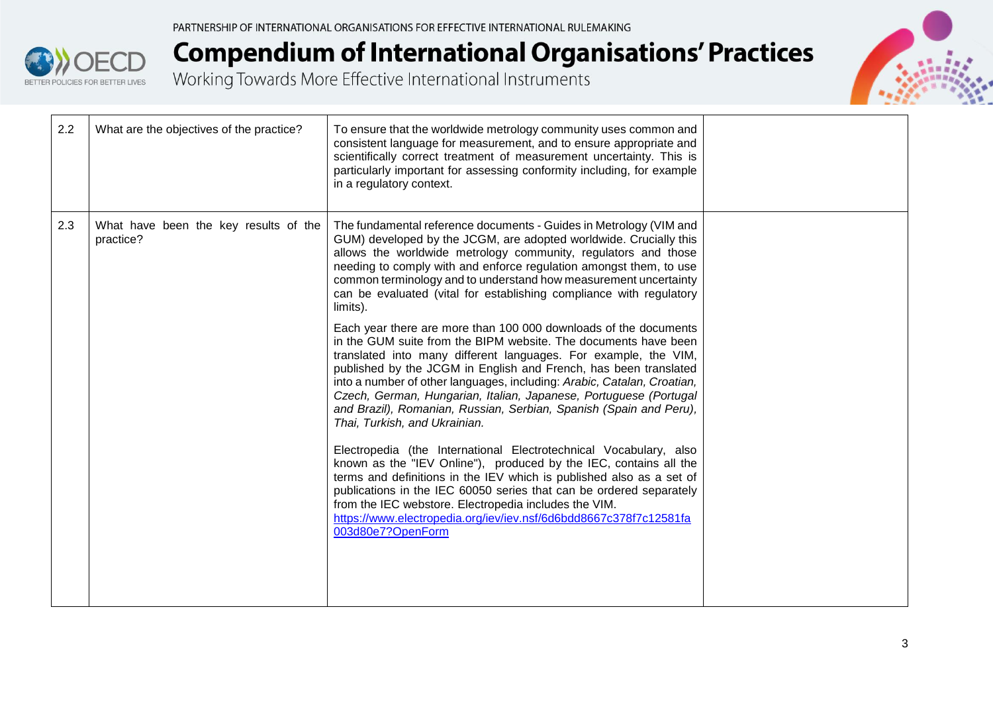



| 2.2 | What are the objectives of the practice?           | To ensure that the worldwide metrology community uses common and<br>consistent language for measurement, and to ensure appropriate and<br>scientifically correct treatment of measurement uncertainty. This is<br>particularly important for assessing conformity including, for example<br>in a regulatory context.                                                                                                                                                                                                              |  |
|-----|----------------------------------------------------|-----------------------------------------------------------------------------------------------------------------------------------------------------------------------------------------------------------------------------------------------------------------------------------------------------------------------------------------------------------------------------------------------------------------------------------------------------------------------------------------------------------------------------------|--|
| 2.3 | What have been the key results of the<br>practice? | The fundamental reference documents - Guides in Metrology (VIM and<br>GUM) developed by the JCGM, are adopted worldwide. Crucially this<br>allows the worldwide metrology community, regulators and those<br>needing to comply with and enforce regulation amongst them, to use<br>common terminology and to understand how measurement uncertainty<br>can be evaluated (vital for establishing compliance with regulatory<br>limits).                                                                                            |  |
|     |                                                    | Each year there are more than 100 000 downloads of the documents<br>in the GUM suite from the BIPM website. The documents have been<br>translated into many different languages. For example, the VIM,<br>published by the JCGM in English and French, has been translated<br>into a number of other languages, including: Arabic, Catalan, Croatian,<br>Czech, German, Hungarian, Italian, Japanese, Portuguese (Portugal<br>and Brazil), Romanian, Russian, Serbian, Spanish (Spain and Peru),<br>Thai, Turkish, and Ukrainian. |  |
|     |                                                    | Electropedia (the International Electrotechnical Vocabulary, also<br>known as the "IEV Online"), produced by the IEC, contains all the<br>terms and definitions in the IEV which is published also as a set of<br>publications in the IEC 60050 series that can be ordered separately<br>from the IEC webstore. Electropedia includes the VIM.<br>https://www.electropedia.org/iev/iev.nsf/6d6bdd8667c378f7c12581fa<br>003d80e7?OpenForm                                                                                          |  |
|     |                                                    |                                                                                                                                                                                                                                                                                                                                                                                                                                                                                                                                   |  |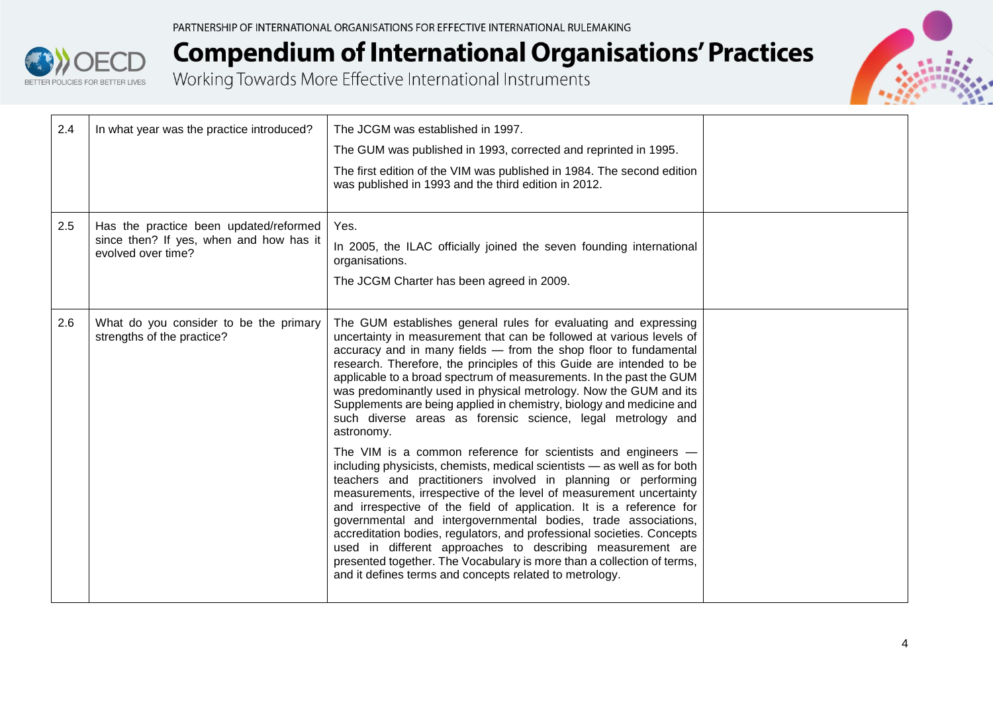



| 2.4 | In what year was the practice introduced?                                                               | The JCGM was established in 1997.<br>The GUM was published in 1993, corrected and reprinted in 1995.<br>The first edition of the VIM was published in 1984. The second edition<br>was published in 1993 and the third edition in 2012.                                                                                                                                                                                                                                                                                                                                                                                                                                                                                                                                                                                                                                                                                                                                                                           |  |
|-----|---------------------------------------------------------------------------------------------------------|------------------------------------------------------------------------------------------------------------------------------------------------------------------------------------------------------------------------------------------------------------------------------------------------------------------------------------------------------------------------------------------------------------------------------------------------------------------------------------------------------------------------------------------------------------------------------------------------------------------------------------------------------------------------------------------------------------------------------------------------------------------------------------------------------------------------------------------------------------------------------------------------------------------------------------------------------------------------------------------------------------------|--|
| 2.5 | Has the practice been updated/reformed<br>since then? If yes, when and how has it<br>evolved over time? | Yes.<br>In 2005, the ILAC officially joined the seven founding international<br>organisations.<br>The JCGM Charter has been agreed in 2009.                                                                                                                                                                                                                                                                                                                                                                                                                                                                                                                                                                                                                                                                                                                                                                                                                                                                      |  |
| 2.6 | What do you consider to be the primary<br>strengths of the practice?                                    | The GUM establishes general rules for evaluating and expressing<br>uncertainty in measurement that can be followed at various levels of<br>accuracy and in many fields - from the shop floor to fundamental<br>research. Therefore, the principles of this Guide are intended to be<br>applicable to a broad spectrum of measurements. In the past the GUM<br>was predominantly used in physical metrology. Now the GUM and its<br>Supplements are being applied in chemistry, biology and medicine and<br>such diverse areas as forensic science, legal metrology and<br>astronomy.<br>The VIM is a common reference for scientists and engineers -<br>including physicists, chemists, medical scientists - as well as for both<br>teachers and practitioners involved in planning or performing<br>measurements, irrespective of the level of measurement uncertainty<br>and irrespective of the field of application. It is a reference for<br>governmental and intergovernmental bodies, trade associations, |  |
|     |                                                                                                         | accreditation bodies, regulators, and professional societies. Concepts<br>used in different approaches to describing measurement are<br>presented together. The Vocabulary is more than a collection of terms,<br>and it defines terms and concepts related to metrology.                                                                                                                                                                                                                                                                                                                                                                                                                                                                                                                                                                                                                                                                                                                                        |  |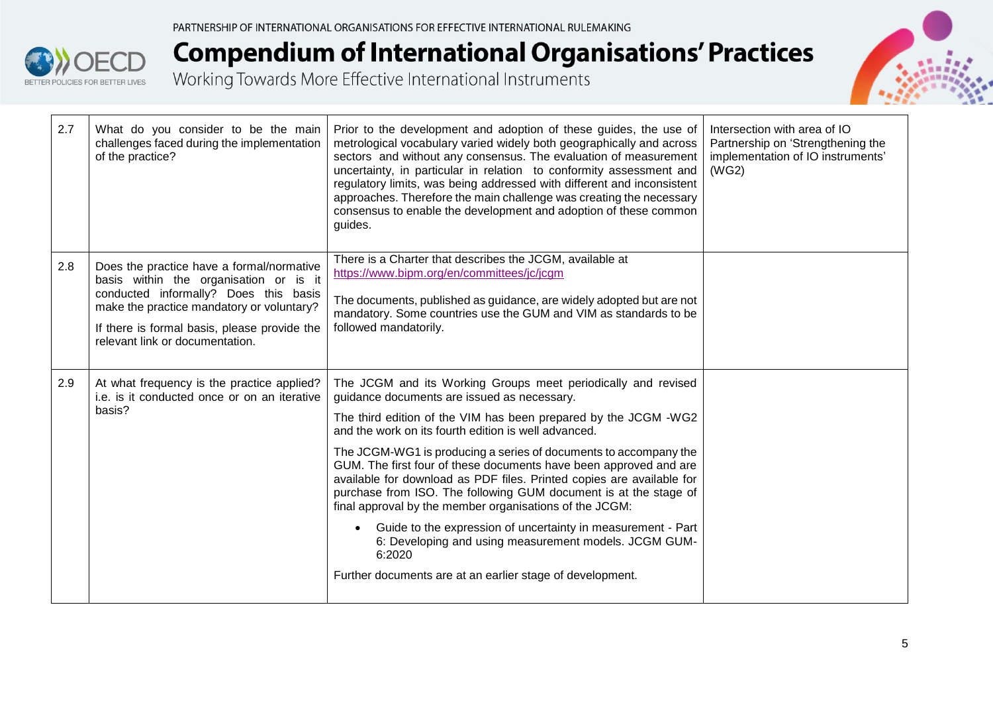



| 2.7 | What do you consider to be the main<br>challenges faced during the implementation<br>of the practice?                                                                                                                                                        | Prior to the development and adoption of these guides, the use of<br>metrological vocabulary varied widely both geographically and across<br>sectors and without any consensus. The evaluation of measurement<br>uncertainty, in particular in relation to conformity assessment and<br>regulatory limits, was being addressed with different and inconsistent<br>approaches. Therefore the main challenge was creating the necessary<br>consensus to enable the development and adoption of these common<br>guides.                                                                                                                                                                                                                                                                     | Intersection with area of IO<br>Partnership on 'Strengthening the<br>implementation of IO instruments'<br>(WG2) |
|-----|--------------------------------------------------------------------------------------------------------------------------------------------------------------------------------------------------------------------------------------------------------------|------------------------------------------------------------------------------------------------------------------------------------------------------------------------------------------------------------------------------------------------------------------------------------------------------------------------------------------------------------------------------------------------------------------------------------------------------------------------------------------------------------------------------------------------------------------------------------------------------------------------------------------------------------------------------------------------------------------------------------------------------------------------------------------|-----------------------------------------------------------------------------------------------------------------|
| 2.8 | Does the practice have a formal/normative<br>basis within the organisation or is it<br>conducted informally? Does this basis<br>make the practice mandatory or voluntary?<br>If there is formal basis, please provide the<br>relevant link or documentation. | There is a Charter that describes the JCGM, available at<br>https://www.bipm.org/en/committees/jc/jcgm<br>The documents, published as guidance, are widely adopted but are not<br>mandatory. Some countries use the GUM and VIM as standards to be<br>followed mandatorily.                                                                                                                                                                                                                                                                                                                                                                                                                                                                                                              |                                                                                                                 |
| 2.9 | At what frequency is the practice applied?<br>i.e. is it conducted once or on an iterative<br>basis?                                                                                                                                                         | The JCGM and its Working Groups meet periodically and revised<br>guidance documents are issued as necessary.<br>The third edition of the VIM has been prepared by the JCGM -WG2<br>and the work on its fourth edition is well advanced.<br>The JCGM-WG1 is producing a series of documents to accompany the<br>GUM. The first four of these documents have been approved and are<br>available for download as PDF files. Printed copies are available for<br>purchase from ISO. The following GUM document is at the stage of<br>final approval by the member organisations of the JCGM:<br>Guide to the expression of uncertainty in measurement - Part<br>6: Developing and using measurement models. JCGM GUM-<br>6:2020<br>Further documents are at an earlier stage of development. |                                                                                                                 |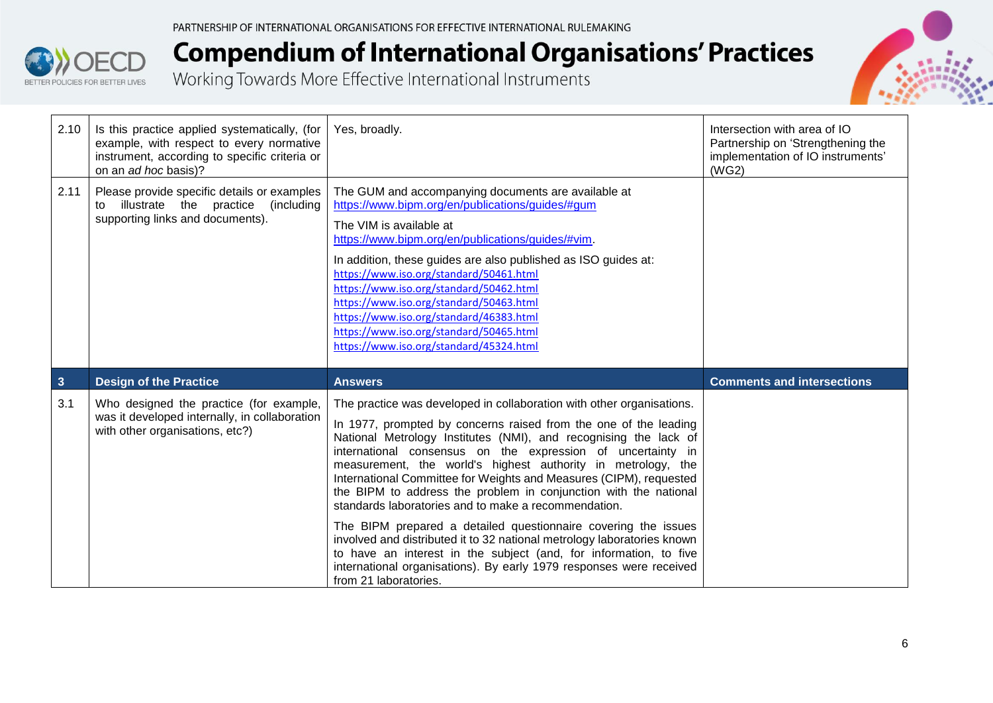



| 2.10         | Is this practice applied systematically, (for<br>example, with respect to every normative<br>instrument, according to specific criteria or<br>on an ad hoc basis)? | Yes, broadly.                                                                                                                                                                                                                                                                                                                                                                                                                                                                                                               | Intersection with area of IO<br>Partnership on 'Strengthening the<br>implementation of IO instruments'<br>(WG2) |
|--------------|--------------------------------------------------------------------------------------------------------------------------------------------------------------------|-----------------------------------------------------------------------------------------------------------------------------------------------------------------------------------------------------------------------------------------------------------------------------------------------------------------------------------------------------------------------------------------------------------------------------------------------------------------------------------------------------------------------------|-----------------------------------------------------------------------------------------------------------------|
| 2.11         | Please provide specific details or examples<br>illustrate the practice<br>(including<br>to<br>supporting links and documents).                                     | The GUM and accompanying documents are available at<br>https://www.bipm.org/en/publications/guides/#gum<br>The VIM is available at<br>https://www.bipm.org/en/publications/guides/#vim.<br>In addition, these guides are also published as ISO guides at:<br>https://www.iso.org/standard/50461.html<br>https://www.iso.org/standard/50462.html<br>https://www.iso.org/standard/50463.html<br>https://www.iso.org/standard/46383.html<br>https://www.iso.org/standard/50465.html<br>https://www.iso.org/standard/45324.html |                                                                                                                 |
| $\mathbf{3}$ | <b>Design of the Practice</b>                                                                                                                                      | <b>Answers</b>                                                                                                                                                                                                                                                                                                                                                                                                                                                                                                              | <b>Comments and intersections</b>                                                                               |
| 3.1          | Who designed the practice (for example,                                                                                                                            |                                                                                                                                                                                                                                                                                                                                                                                                                                                                                                                             |                                                                                                                 |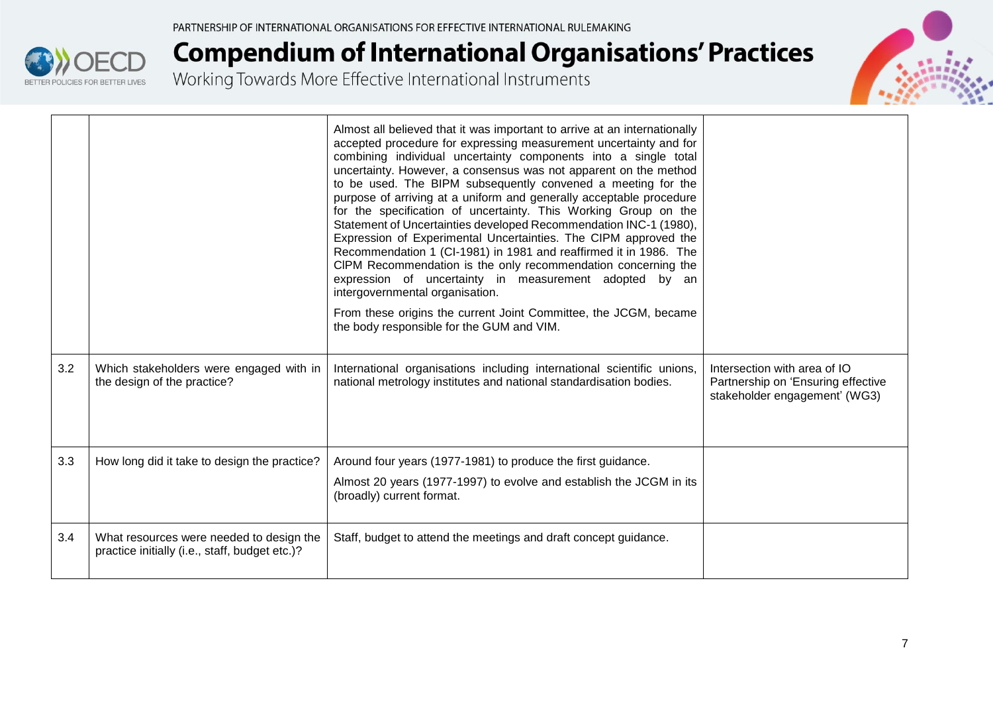

|     |                                                                                            | Almost all believed that it was important to arrive at an internationally<br>accepted procedure for expressing measurement uncertainty and for<br>combining individual uncertainty components into a single total<br>uncertainty. However, a consensus was not apparent on the method<br>to be used. The BIPM subsequently convened a meeting for the<br>purpose of arriving at a uniform and generally acceptable procedure<br>for the specification of uncertainty. This Working Group on the<br>Statement of Uncertainties developed Recommendation INC-1 (1980),<br>Expression of Experimental Uncertainties. The CIPM approved the<br>Recommendation 1 (CI-1981) in 1981 and reaffirmed it in 1986. The<br>CIPM Recommendation is the only recommendation concerning the<br>expression of uncertainty in measurement adopted by an<br>intergovernmental organisation.<br>From these origins the current Joint Committee, the JCGM, became<br>the body responsible for the GUM and VIM. |                                                                                                     |
|-----|--------------------------------------------------------------------------------------------|---------------------------------------------------------------------------------------------------------------------------------------------------------------------------------------------------------------------------------------------------------------------------------------------------------------------------------------------------------------------------------------------------------------------------------------------------------------------------------------------------------------------------------------------------------------------------------------------------------------------------------------------------------------------------------------------------------------------------------------------------------------------------------------------------------------------------------------------------------------------------------------------------------------------------------------------------------------------------------------------|-----------------------------------------------------------------------------------------------------|
| 3.2 | Which stakeholders were engaged with in<br>the design of the practice?                     | International organisations including international scientific unions,<br>national metrology institutes and national standardisation bodies.                                                                                                                                                                                                                                                                                                                                                                                                                                                                                                                                                                                                                                                                                                                                                                                                                                                | Intersection with area of IO<br>Partnership on 'Ensuring effective<br>stakeholder engagement' (WG3) |
| 3.3 | How long did it take to design the practice?                                               | Around four years (1977-1981) to produce the first guidance.                                                                                                                                                                                                                                                                                                                                                                                                                                                                                                                                                                                                                                                                                                                                                                                                                                                                                                                                |                                                                                                     |
|     |                                                                                            | Almost 20 years (1977-1997) to evolve and establish the JCGM in its<br>(broadly) current format.                                                                                                                                                                                                                                                                                                                                                                                                                                                                                                                                                                                                                                                                                                                                                                                                                                                                                            |                                                                                                     |
| 3.4 | What resources were needed to design the<br>practice initially (i.e., staff, budget etc.)? | Staff, budget to attend the meetings and draft concept guidance.                                                                                                                                                                                                                                                                                                                                                                                                                                                                                                                                                                                                                                                                                                                                                                                                                                                                                                                            |                                                                                                     |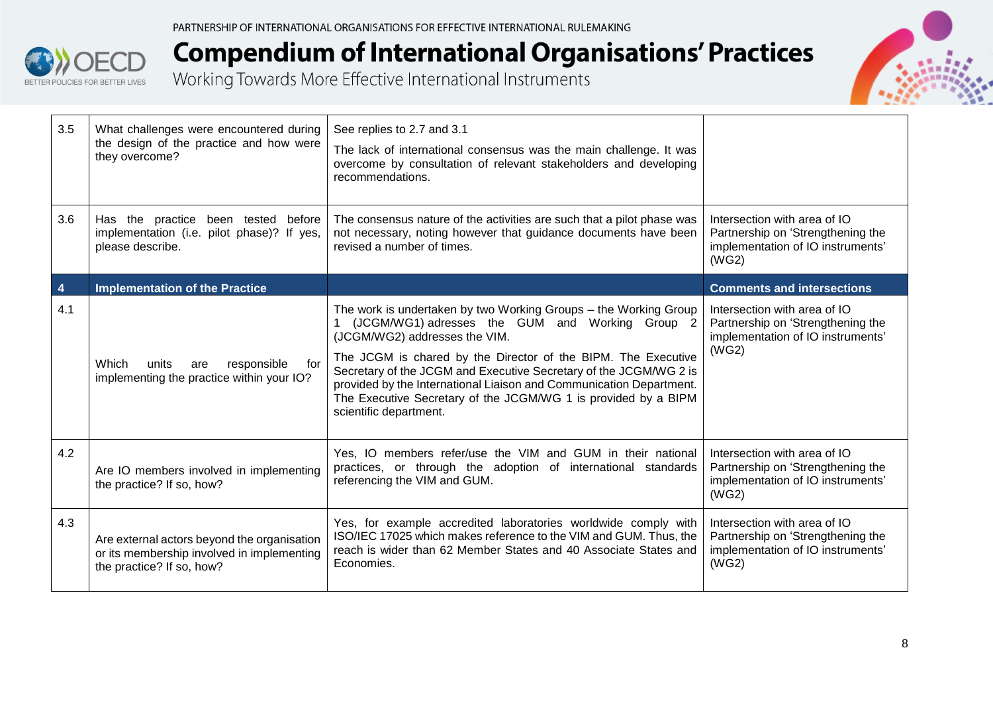



| 3.5                     | What challenges were encountered during<br>the design of the practice and how were<br>they overcome?                                                                                                                                                                                   | See replies to 2.7 and 3.1<br>The lack of international consensus was the main challenge. It was<br>overcome by consultation of relevant stakeholders and developing<br>recommendations.                                                                                                                                                                                                                                                                      |                                                                                                                 |
|-------------------------|----------------------------------------------------------------------------------------------------------------------------------------------------------------------------------------------------------------------------------------------------------------------------------------|---------------------------------------------------------------------------------------------------------------------------------------------------------------------------------------------------------------------------------------------------------------------------------------------------------------------------------------------------------------------------------------------------------------------------------------------------------------|-----------------------------------------------------------------------------------------------------------------|
| 3.6                     | The consensus nature of the activities are such that a pilot phase was<br>Has the practice<br>been tested<br>before<br>implementation (i.e. pilot phase)? If yes,<br>not necessary, noting however that guidance documents have been<br>revised a number of times.<br>please describe. |                                                                                                                                                                                                                                                                                                                                                                                                                                                               | Intersection with area of IO<br>Partnership on 'Strengthening the<br>implementation of IO instruments'<br>(WG2) |
| $\overline{\mathbf{4}}$ | <b>Implementation of the Practice</b>                                                                                                                                                                                                                                                  |                                                                                                                                                                                                                                                                                                                                                                                                                                                               | <b>Comments and intersections</b>                                                                               |
| 4.1                     | Which<br>responsible<br>units<br>for<br>are<br>implementing the practice within your IO?                                                                                                                                                                                               | The work is undertaken by two Working Groups - the Working Group<br>(JCGM/WG1) adresses the GUM and Working Group 2<br>(JCGM/WG2) addresses the VIM.<br>The JCGM is chared by the Director of the BIPM. The Executive<br>Secretary of the JCGM and Executive Secretary of the JCGM/WG 2 is<br>provided by the International Liaison and Communication Department.<br>The Executive Secretary of the JCGM/WG 1 is provided by a BIPM<br>scientific department. | Intersection with area of IO<br>Partnership on 'Strengthening the<br>implementation of IO instruments'<br>(WG2) |
| 4.2                     | Are IO members involved in implementing<br>the practice? If so, how?                                                                                                                                                                                                                   | Yes, IO members refer/use the VIM and GUM in their national<br>practices, or through the adoption of international standards<br>referencing the VIM and GUM.                                                                                                                                                                                                                                                                                                  | Intersection with area of IO<br>Partnership on 'Strengthening the<br>implementation of IO instruments'<br>(WG2) |
| 4.3                     | Are external actors beyond the organisation<br>or its membership involved in implementing<br>the practice? If so, how?                                                                                                                                                                 | Yes, for example accredited laboratories worldwide comply with<br>ISO/IEC 17025 which makes reference to the VIM and GUM. Thus, the<br>reach is wider than 62 Member States and 40 Associate States and<br>Economies.                                                                                                                                                                                                                                         | Intersection with area of IO<br>Partnership on 'Strengthening the<br>implementation of IO instruments'<br>(WG2) |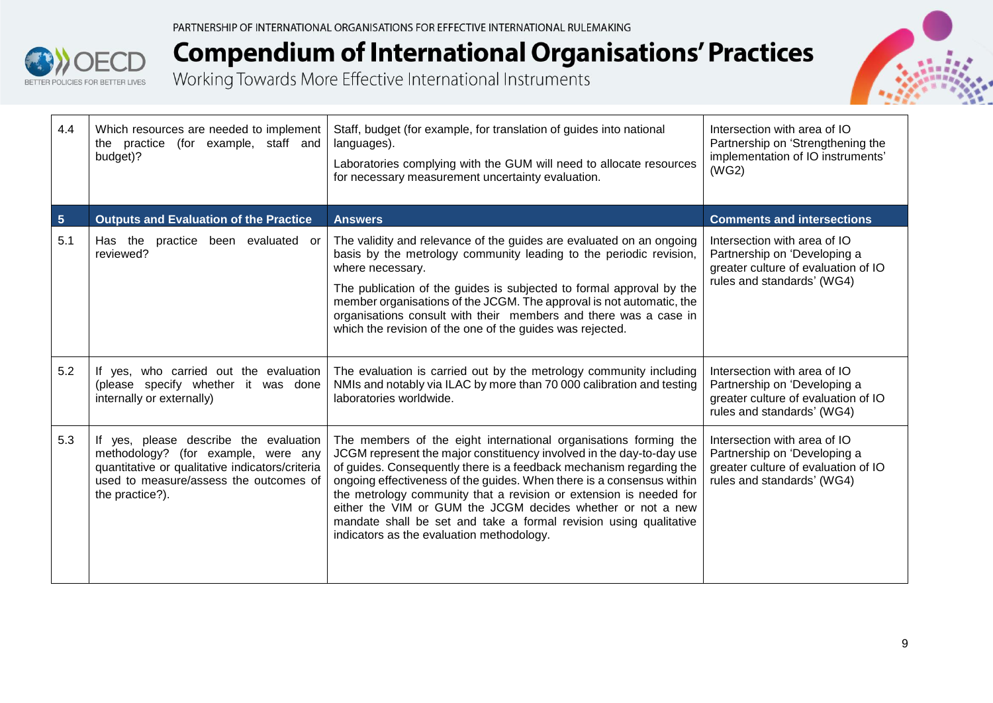



| 4.4                     | Which resources are needed to implement<br>the practice (for example, staff and<br>budget)?                                                                                                   | Staff, budget (for example, for translation of guides into national<br>languages).<br>Laboratories complying with the GUM will need to allocate resources<br>for necessary measurement uncertainty evaluation.                                                                                                                                                                                                                                                                                                                                  | Intersection with area of IO<br>Partnership on 'Strengthening the<br>implementation of IO instruments'<br>(WG2)                   |
|-------------------------|-----------------------------------------------------------------------------------------------------------------------------------------------------------------------------------------------|-------------------------------------------------------------------------------------------------------------------------------------------------------------------------------------------------------------------------------------------------------------------------------------------------------------------------------------------------------------------------------------------------------------------------------------------------------------------------------------------------------------------------------------------------|-----------------------------------------------------------------------------------------------------------------------------------|
| $\overline{\mathbf{5}}$ | <b>Outputs and Evaluation of the Practice</b>                                                                                                                                                 | <b>Answers</b>                                                                                                                                                                                                                                                                                                                                                                                                                                                                                                                                  | <b>Comments and intersections</b>                                                                                                 |
| 5.1                     | Has the practice been evaluated or<br>reviewed?                                                                                                                                               | The validity and relevance of the guides are evaluated on an ongoing<br>basis by the metrology community leading to the periodic revision,<br>where necessary.<br>The publication of the guides is subjected to formal approval by the<br>member organisations of the JCGM. The approval is not automatic, the<br>organisations consult with their members and there was a case in<br>which the revision of the one of the guides was rejected.                                                                                                 | Intersection with area of IO<br>Partnership on 'Developing a<br>greater culture of evaluation of IO<br>rules and standards' (WG4) |
| 5.2                     | If yes, who carried out the evaluation<br>(please specify whether it was done<br>internally or externally)                                                                                    | The evaluation is carried out by the metrology community including<br>NMIs and notably via ILAC by more than 70 000 calibration and testing<br>laboratories worldwide.                                                                                                                                                                                                                                                                                                                                                                          | Intersection with area of IO<br>Partnership on 'Developing a<br>greater culture of evaluation of IO<br>rules and standards' (WG4) |
| 5.3                     | If yes, please describe the evaluation<br>methodology? (for example, were any<br>quantitative or qualitative indicators/criteria<br>used to measure/assess the outcomes of<br>the practice?). | The members of the eight international organisations forming the<br>JCGM represent the major constituency involved in the day-to-day use<br>of guides. Consequently there is a feedback mechanism regarding the<br>ongoing effectiveness of the guides. When there is a consensus within<br>the metrology community that a revision or extension is needed for<br>either the VIM or GUM the JCGM decides whether or not a new<br>mandate shall be set and take a formal revision using qualitative<br>indicators as the evaluation methodology. | Intersection with area of IO<br>Partnership on 'Developing a<br>greater culture of evaluation of IO<br>rules and standards' (WG4) |